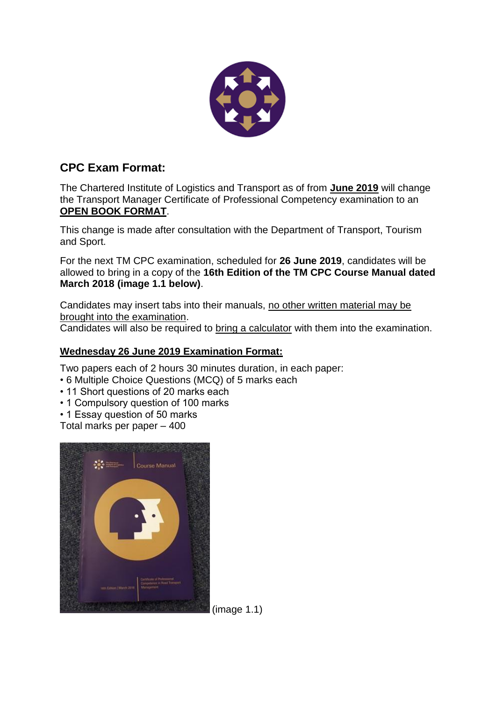

## **CPC Exam Format:**

The Chartered Institute of Logistics and Transport as of from **June 2019** will change the Transport Manager Certificate of Professional Competency examination to an **OPEN BOOK FORMAT**.

This change is made after consultation with the Department of Transport, Tourism and Sport.

For the next TM CPC examination, scheduled for **26 June 2019**, candidates will be allowed to bring in a copy of the **16th Edition of the TM CPC Course Manual dated March 2018 (image 1.1 below)**.

Candidates may insert tabs into their manuals, no other written material may be brought into the examination.

Candidates will also be required to bring a calculator with them into the examination.

## **Wednesday 26 June 2019 Examination Format:**

Two papers each of 2 hours 30 minutes duration, in each paper:

- 6 Multiple Choice Questions (MCQ) of 5 marks each
- 11 Short questions of 20 marks each
- 1 Compulsory question of 100 marks
- 1 Essay question of 50 marks

Total marks per paper – 400



(image 1.1)